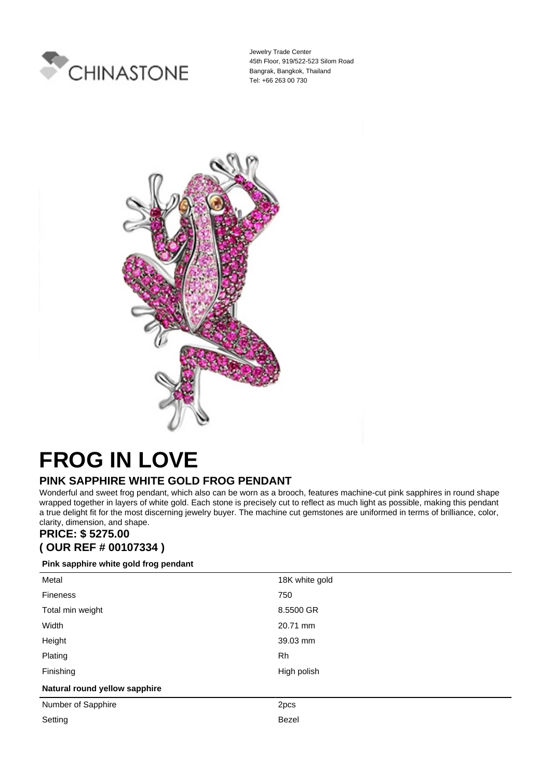

Jewelry Trade Center 45th Floor, 919/522-523 Silom Road Bangrak, Bangkok, Thailand Tel: +66 263 00 730



## **FROG IN LOVE**

## **PINK SAPPHIRE WHITE GOLD FROG PENDANT**

Wonderful and sweet frog pendant, which also can be worn as a brooch, features machine-cut pink sapphires in round shape wrapped together in layers of white gold. Each stone is precisely cut to reflect as much light as possible, making this pendant a true delight fit for the most discerning jewelry buyer. The machine cut gemstones are uniformed in terms of brilliance, color, clarity, dimension, and shape.

## **PRICE: \$ 5275.00 ( OUR REF # 00107334 )**

## **Pink sapphire white gold frog pendant**

| Metal                         | 18K white gold |
|-------------------------------|----------------|
| <b>Fineness</b>               | 750            |
| Total min weight              | 8.5500 GR      |
| Width                         | 20.71 mm       |
| Height                        | 39.03 mm       |
| Plating                       | Rh             |
| Finishing                     | High polish    |
| Natural round yellow sapphire |                |
| Number of Sapphire            | 2pcs           |
| Setting                       | Bezel          |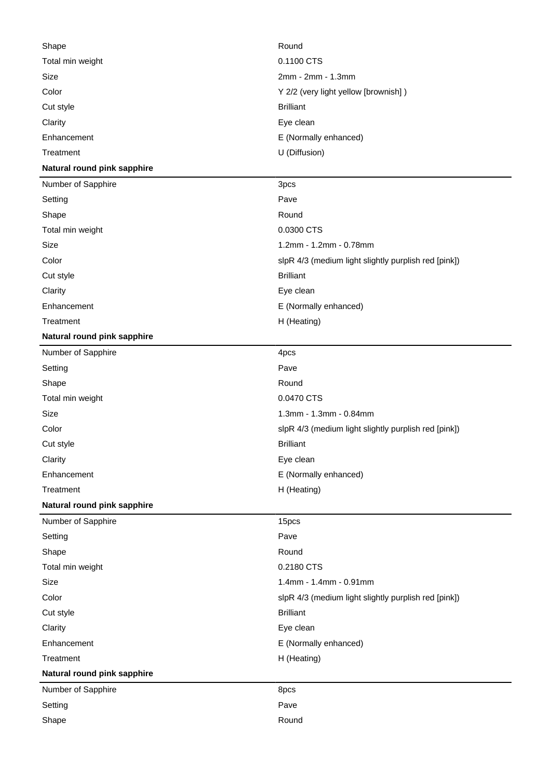| Shape                       | Round                                                |
|-----------------------------|------------------------------------------------------|
| Total min weight            | 0.1100 CTS                                           |
| Size                        | 2mm - 2mm - 1.3mm                                    |
| Color                       | Y 2/2 (very light yellow [brownish])                 |
| Cut style                   | <b>Brilliant</b>                                     |
| Clarity                     | Eye clean                                            |
| Enhancement                 | E (Normally enhanced)                                |
| Treatment                   | U (Diffusion)                                        |
| Natural round pink sapphire |                                                      |
| Number of Sapphire          | 3pcs                                                 |
| Setting                     | Pave                                                 |
| Shape                       | Round                                                |
| Total min weight            | 0.0300 CTS                                           |
| Size                        | 1.2mm - 1.2mm - 0.78mm                               |
| Color                       | slpR 4/3 (medium light slightly purplish red [pink]) |
| Cut style                   | <b>Brilliant</b>                                     |
| Clarity                     | Eye clean                                            |
| Enhancement                 | E (Normally enhanced)                                |
| Treatment                   | H (Heating)                                          |
| Natural round pink sapphire |                                                      |
| Number of Sapphire          | 4pcs                                                 |
| Setting                     | Pave                                                 |
| Shape                       | Round                                                |
| Total min weight            | 0.0470 CTS                                           |
| Size                        | 1.3mm - 1.3mm - 0.84mm                               |
| Color                       | slpR 4/3 (medium light slightly purplish red [pink]) |
| Cut style                   | <b>Brilliant</b>                                     |
| Clarity                     | Eye clean                                            |
| Enhancement                 | E (Normally enhanced)                                |
| Treatment                   | H (Heating)                                          |
| Natural round pink sapphire |                                                      |
| Number of Sapphire          | 15pcs                                                |
| Setting                     | Pave                                                 |
| Shape                       | Round                                                |
| Total min weight            | 0.2180 CTS                                           |
| Size                        | 1.4mm - 1.4mm - 0.91mm                               |
| Color                       | slpR 4/3 (medium light slightly purplish red [pink]) |
| Cut style                   | <b>Brilliant</b>                                     |
| Clarity                     | Eye clean                                            |
| Enhancement                 | E (Normally enhanced)                                |
| Treatment                   | H (Heating)                                          |
| Natural round pink sapphire |                                                      |
| Number of Sapphire          | 8pcs                                                 |
| Setting                     | Pave                                                 |
| Shape                       | Round                                                |
|                             |                                                      |